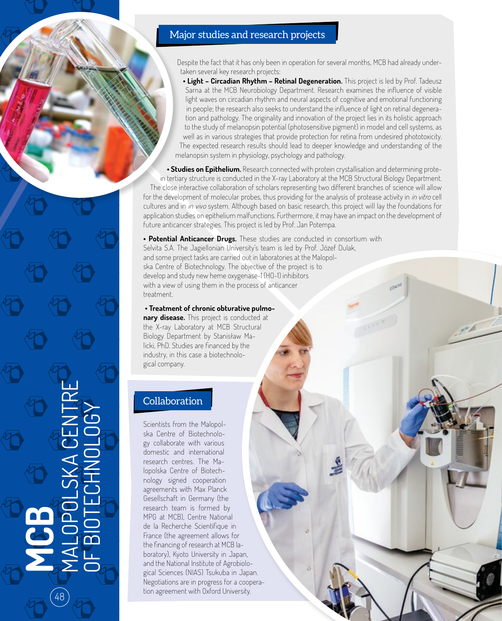## Major studies and research projects

Despite the fact that it has only been in operation for several months, MCB had already undertaken several key research projects:

• Light - Circadian Rhythm - Retinal Degeneration. This project is led by Prof. Tadeusz Sarna at the MCB Neurobiology Department. Research examines the influence of visible light waves on circadian rhythm and neural aspects of cognitive and emotional functioning in people; the research also seeks to understand the influence of light on retinal degeneration and pathology. The originality and innovation of the project lies in its holistic approach to the study of melanopsin potential (photosensitive pigment) in model and cell systems, as well as in various strategies that provide protection for retina from undesired phototoxicity. The expected research results should lead to deeper knowledge and understanding of the melanopsin system in physiology, psychology and pathology.

**• Studies on Epithelium.** Research connected with protein crystallisation and determining protein tertiary structure is conducted in the X-ray Laboratory at the MCB Structural Biology Department. The close interactive collaboration of scholars representing two different branches of science will allow for the development of molecular probes, thus providing for the analysis of protease activity in in vitro cell cultures and in *in vivo* system. Although based on basic research, this project will lay the foundations for application studies on epithelium malfunctions. Furthermore, it may have an impact on the development of future anticancer strategies. This project is led by Prof. Jan Potempa.

**• Potential Anticancer Drugs.** These studies are conducted in consortium with Selvita S.A. The Jagiellonian University's team is led by Prof. Józef Dulak, and some project tasks are carried out in laboratories at the Malopolska Centre of Biotechnology. The objective of the project is to develop and study new heme oxygenase-1 (HO-1) inhibitors with a view of using them in the process of anticancer treatment.

 **• Treatment of chronic obturative pulmonary disease.** This project is conducted at the X-ray Laboratory at MCB Structural Biology Department by Stanisław Malicki, PhD. Studies are financed by the industry, in this case a biotechnological company.

## **Collaboration**

**MCB**

48

MALOPOLSKA CENTRE

OF BIOTECHNOLOGY

Scientists from the Malopolska Centre of Biotechnology collaborate with various domestic and international research centres. The Malopolska Centre of Biotechnology signed cooperation agreements with Max Planck Gesellschaft in Germany (the research team is formed by MPG at MCB), Centre National de la Recherche Scientifique in France (the agreement allows for the financing of research at MCB laboratory), Kyoto University in Japan, and the National Institute of Agrobiological Sciences (NIAS) Tsukuba in Japan. Negotiations are in progress for a cooperation agreement with Oxford University.